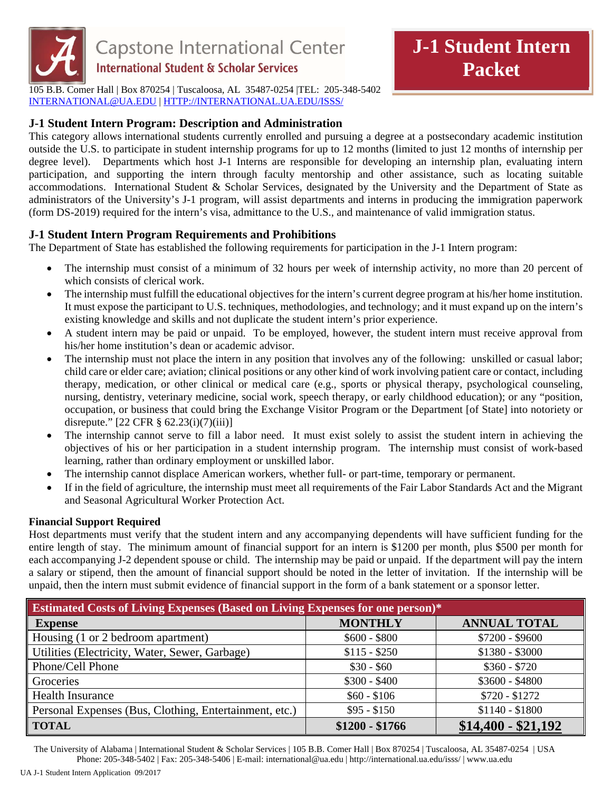

105 B.B. Comer Hall | Box 870254 | Tuscaloosa, AL 35487-0254 |TEL: 205-348-5402 INTERNATIONAL@UA.EDU | HTTP://INTERNATIONAL.UA.EDU/ISSS/

## **J-1 Student Intern Program: Description and Administration**

This category allows international students currently enrolled and pursuing a degree at a postsecondary academic institution outside the U.S. to participate in student internship programs for up to 12 months (limited to just 12 months of internship per degree level). Departments which host J-1 Interns are responsible for developing an internship plan, evaluating intern participation, and supporting the intern through faculty mentorship and other assistance, such as locating suitable accommodations. International Student & Scholar Services, designated by the University and the Department of State as administrators of the University's J-1 program, will assist departments and interns in producing the immigration paperwork (form DS-2019) required for the intern's visa, admittance to the U.S., and maintenance of valid immigration status.

## **J-1 Student Intern Program Requirements and Prohibitions**

The Department of State has established the following requirements for participation in the J-1 Intern program:

- The internship must consist of a minimum of 32 hours per week of internship activity, no more than 20 percent of which consists of clerical work.
- The internship must fulfill the educational objectives for the intern's current degree program at his/her home institution. It must expose the participant to U.S. techniques, methodologies, and technology; and it must expand up on the intern's existing knowledge and skills and not duplicate the student intern's prior experience.
- A student intern may be paid or unpaid. To be employed, however, the student intern must receive approval from his/her home institution's dean or academic advisor.
- The internship must not place the intern in any position that involves any of the following: unskilled or casual labor; child care or elder care; aviation; clinical positions or any other kind of work involving patient care or contact, including therapy, medication, or other clinical or medical care (e.g., sports or physical therapy, psychological counseling, nursing, dentistry, veterinary medicine, social work, speech therapy, or early childhood education); or any "position, occupation, or business that could bring the Exchange Visitor Program or the Department [of State] into notoriety or disrepute."  $[22 \text{ CFR } \frac{8}{9} \frac{62.23(i)}{(7)(iii)}]$
- The internship cannot serve to fill a labor need. It must exist solely to assist the student intern in achieving the objectives of his or her participation in a student internship program. The internship must consist of work-based learning, rather than ordinary employment or unskilled labor.
- The internship cannot displace American workers, whether full- or part-time, temporary or permanent.
- If in the field of agriculture, the internship must meet all requirements of the Fair Labor Standards Act and the Migrant and Seasonal Agricultural Worker Protection Act.

## **Financial Support Required**

Host departments must verify that the student intern and any accompanying dependents will have sufficient funding for the entire length of stay. The minimum amount of financial support for an intern is \$1200 per month, plus \$500 per month for each accompanying J-2 dependent spouse or child. The internship may be paid or unpaid. If the department will pay the intern a salary or stipend, then the amount of financial support should be noted in the letter of invitation. If the internship will be unpaid, then the intern must submit evidence of financial support in the form of a bank statement or a sponsor letter.

| Estimated Costs of Living Expenses (Based on Living Expenses for one person)* |                 |                     |
|-------------------------------------------------------------------------------|-----------------|---------------------|
| <b>Expense</b>                                                                | <b>MONTHLY</b>  | <b>ANNUAL TOTAL</b> |
| Housing (1 or 2 bedroom apartment)                                            | $$600 - $800$   | $$7200 - $9600$     |
| Utilities (Electricity, Water, Sewer, Garbage)                                | $$115 - $250$   | $$1380 - $3000$     |
| Phone/Cell Phone                                                              | $$30 - $60$     | $$360 - $720$       |
| Groceries                                                                     | $$300 - $400$   | $$3600 - $4800$     |
| <b>Health Insurance</b>                                                       | $$60 - $106$    | $$720 - $1272$      |
| Personal Expenses (Bus, Clothing, Entertainment, etc.)                        | $$95 - $150$    | $$1140 - $1800$     |
| <b>TOTAL</b>                                                                  | $$1200 - $1766$ | $$14,400 - $21,192$ |

The University of Alabama | International Student & Scholar Services | 105 B.B. Comer Hall | Box 870254 | Tuscaloosa, AL 35487-0254 | USA Phone: 205-348-5402 | Fax: 205-348-5406 | E-mail: international@ua.edu | http://international.ua.edu/isss/ | www.ua.edu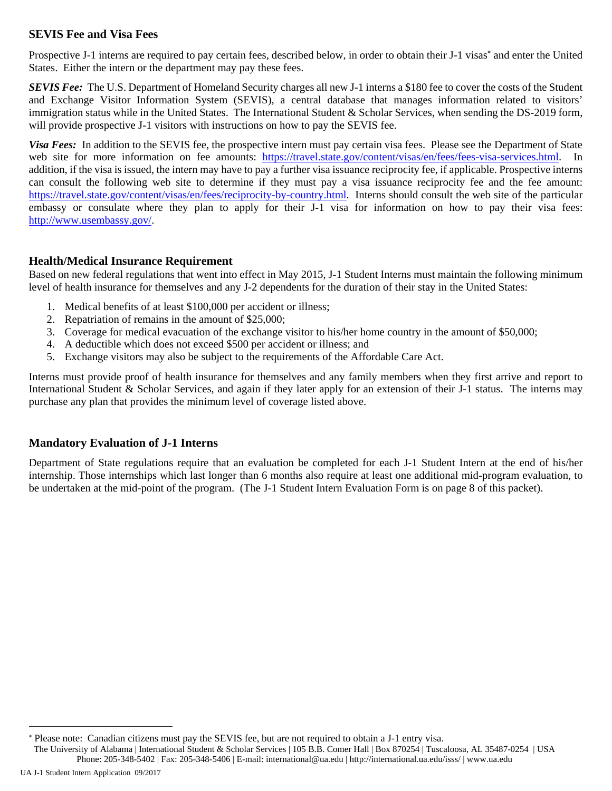### **SEVIS Fee and Visa Fees**

Prospective J-1 interns are required to pay certain fees, described below, in order to obtain their J-1 visas<sup>\*</sup> and enter the United States. Either the intern or the department may pay these fees.

*SEVIS Fee:* The U.S. Department of Homeland Security charges all new J-1 interns a \$180 fee to cover the costs of the Student and Exchange Visitor Information System (SEVIS), a central database that manages information related to visitors' immigration status while in the United States. The International Student & Scholar Services, when sending the DS-2019 form, will provide prospective J-1 visitors with instructions on how to pay the SEVIS fee.

*Visa Fees:* In addition to the SEVIS fee, the prospective intern must pay certain visa fees. Please see the Department of State web site for more information on fee amounts: https://travel.state.gov/content/visas/en/fees/fees-visa-services.html. In addition, if the visa is issued, the intern may have to pay a further visa issuance reciprocity fee, if applicable. Prospective interns can consult the following web site to determine if they must pay a visa issuance reciprocity fee and the fee amount: https://travel.state.gov/content/visas/en/fees/reciprocity-by-country.html. Interns should consult the web site of the particular embassy or consulate where they plan to apply for their J-1 visa for information on how to pay their visa fees: http://www.usembassy.gov/.

### **Health/Medical Insurance Requirement**

Based on new federal regulations that went into effect in May 2015, J-1 Student Interns must maintain the following minimum level of health insurance for themselves and any J-2 dependents for the duration of their stay in the United States:

- 1. Medical benefits of at least \$100,000 per accident or illness;
- 2. Repatriation of remains in the amount of \$25,000;
- 3. Coverage for medical evacuation of the exchange visitor to his/her home country in the amount of \$50,000;
- 4. A deductible which does not exceed \$500 per accident or illness; and
- 5. Exchange visitors may also be subject to the requirements of the Affordable Care Act.

Interns must provide proof of health insurance for themselves and any family members when they first arrive and report to International Student & Scholar Services, and again if they later apply for an extension of their J-1 status. The interns may purchase any plan that provides the minimum level of coverage listed above.

### **Mandatory Evaluation of J-1 Interns**

Department of State regulations require that an evaluation be completed for each J-1 Student Intern at the end of his/her internship. Those internships which last longer than 6 months also require at least one additional mid-program evaluation, to be undertaken at the mid-point of the program. (The J-1 Student Intern Evaluation Form is on page 8 of this packet).

The University of Alabama | International Student & Scholar Services | 105 B.B. Comer Hall | Box 870254 | Tuscaloosa, AL 35487-0254 | USA Phone: 205-348-5402 | Fax: 205-348-5406 | E-mail: international@ua.edu | http://international.ua.edu/isss/ | www.ua.edu

UA J-1 Student Intern Application 09/2017

1

<sup>\*</sup> Please note: Canadian citizens must pay the SEVIS fee, but are not required to obtain a J-1 entry visa.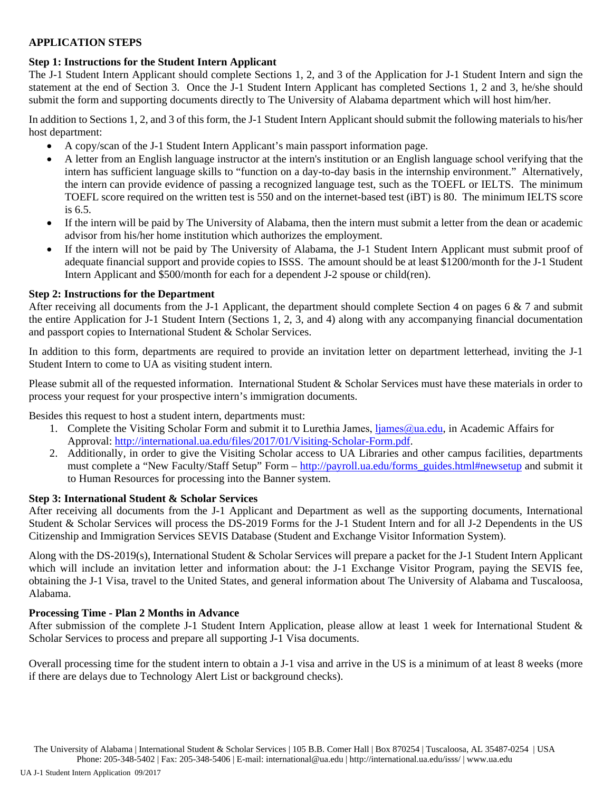### **APPLICATION STEPS**

### **Step 1: Instructions for the Student Intern Applicant**

The J-1 Student Intern Applicant should complete Sections 1, 2, and 3 of the Application for J-1 Student Intern and sign the statement at the end of Section 3. Once the J-1 Student Intern Applicant has completed Sections 1, 2 and 3, he/she should submit the form and supporting documents directly to The University of Alabama department which will host him/her.

In addition to Sections 1, 2, and 3 of this form, the J-1 Student Intern Applicant should submit the following materials to his/her host department:

- A copy/scan of the J-1 Student Intern Applicant's main passport information page.
- A letter from an English language instructor at the intern's institution or an English language school verifying that the intern has sufficient language skills to "function on a day-to-day basis in the internship environment." Alternatively, the intern can provide evidence of passing a recognized language test, such as the TOEFL or IELTS. The minimum TOEFL score required on the written test is 550 and on the internet-based test (iBT) is 80. The minimum IELTS score is 6.5.
- If the intern will be paid by The University of Alabama, then the intern must submit a letter from the dean or academic advisor from his/her home institution which authorizes the employment.
- If the intern will not be paid by The University of Alabama, the J-1 Student Intern Applicant must submit proof of adequate financial support and provide copies to ISSS. The amount should be at least \$1200/month for the J-1 Student Intern Applicant and \$500/month for each for a dependent J-2 spouse or child(ren).

### **Step 2: Instructions for the Department**

After receiving all documents from the J-1 Applicant, the department should complete Section 4 on pages 6 & 7 and submit the entire Application for J-1 Student Intern (Sections 1, 2, 3, and 4) along with any accompanying financial documentation and passport copies to International Student & Scholar Services.

In addition to this form, departments are required to provide an invitation letter on department letterhead, inviting the J-1 Student Intern to come to UA as visiting student intern.

Please submit all of the requested information. International Student & Scholar Services must have these materials in order to process your request for your prospective intern's immigration documents.

Besides this request to host a student intern, departments must:

- 1. Complete the Visiting Scholar Form and submit it to Lurethia James, *liames@ua.edu*, in Academic Affairs for Approval: http://international.ua.edu/files/2017/01/Visiting-Scholar-Form.pdf.
- 2. Additionally, in order to give the Visiting Scholar access to UA Libraries and other campus facilities, departments must complete a "New Faculty/Staff Setup" Form – http://payroll.ua.edu/forms\_guides.html#newsetup and submit it to Human Resources for processing into the Banner system.

### **Step 3: International Student & Scholar Services**

After receiving all documents from the J-1 Applicant and Department as well as the supporting documents, International Student & Scholar Services will process the DS-2019 Forms for the J-1 Student Intern and for all J-2 Dependents in the US Citizenship and Immigration Services SEVIS Database (Student and Exchange Visitor Information System).

Along with the DS-2019(s), International Student & Scholar Services will prepare a packet for the J-1 Student Intern Applicant which will include an invitation letter and information about: the J-1 Exchange Visitor Program, paying the SEVIS fee, obtaining the J-1 Visa, travel to the United States, and general information about The University of Alabama and Tuscaloosa, Alabama.

### **Processing Time - Plan 2 Months in Advance**

After submission of the complete J-1 Student Intern Application, please allow at least 1 week for International Student & Scholar Services to process and prepare all supporting J-1 Visa documents.

Overall processing time for the student intern to obtain a J-1 visa and arrive in the US is a minimum of at least 8 weeks (more if there are delays due to Technology Alert List or background checks).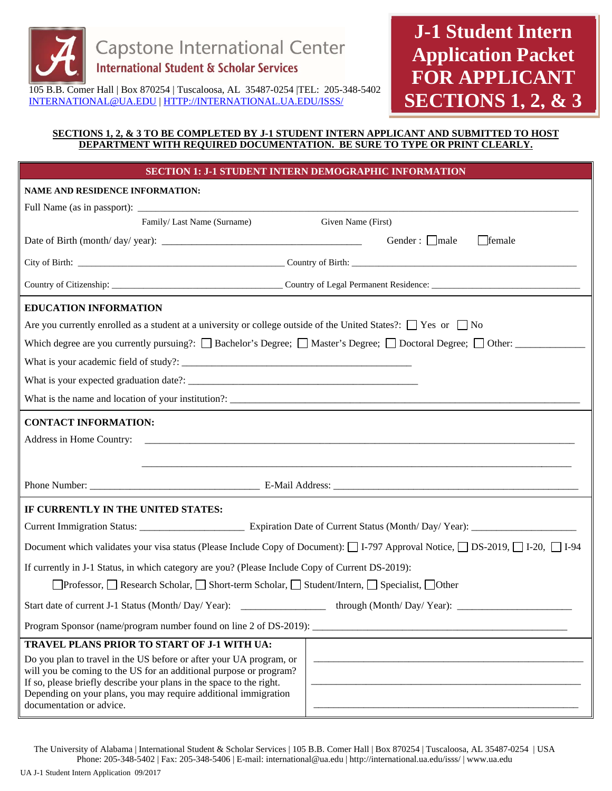

# **J-1 Student Intern Application Packet FOR APPLICANT SECTIONS 1, 2, & 3**

105 B.B. Comer Hall | Box 870254 | Tuscaloosa, AL 35487-0254 |TEL: 205-348-5402 INTERNATIONAL@UA.EDU | HTTP://INTERNATIONAL.UA.EDU/ISSS/

### **SECTIONS 1, 2, & 3 TO BE COMPLETED BY J-1 STUDENT INTERN APPLICANT AND SUBMITTED TO HOST DEPARTMENT WITH REQUIRED DOCUMENTATION. BE SURE TO TYPE OR PRINT CLEARLY.**

|                                                         | <b>SECTION 1: J-1 STUDENT INTERN DEMOGRAPHIC INFORMATION</b>                                                                                                                                                                                                                         |                                                                                                                                          |
|---------------------------------------------------------|--------------------------------------------------------------------------------------------------------------------------------------------------------------------------------------------------------------------------------------------------------------------------------------|------------------------------------------------------------------------------------------------------------------------------------------|
| NAME AND RESIDENCE INFORMATION:                         |                                                                                                                                                                                                                                                                                      |                                                                                                                                          |
|                                                         |                                                                                                                                                                                                                                                                                      |                                                                                                                                          |
|                                                         | Family/Last Name (Surname)                                                                                                                                                                                                                                                           | Given Name (First)                                                                                                                       |
|                                                         |                                                                                                                                                                                                                                                                                      | Gender: $\Box$ male<br>$\Box$ female                                                                                                     |
|                                                         |                                                                                                                                                                                                                                                                                      |                                                                                                                                          |
|                                                         |                                                                                                                                                                                                                                                                                      |                                                                                                                                          |
| <b>EDUCATION INFORMATION</b>                            |                                                                                                                                                                                                                                                                                      |                                                                                                                                          |
|                                                         |                                                                                                                                                                                                                                                                                      | Are you currently enrolled as a student at a university or college outside of the United States?: $\Box$ Yes or $\Box$ No                |
|                                                         |                                                                                                                                                                                                                                                                                      | Which degree are you currently pursuing?: $\Box$ Bachelor's Degree; $\Box$ Master's Degree; $\Box$ Doctoral Degree; $\Box$ Other: $\Box$ |
|                                                         |                                                                                                                                                                                                                                                                                      |                                                                                                                                          |
|                                                         |                                                                                                                                                                                                                                                                                      |                                                                                                                                          |
|                                                         |                                                                                                                                                                                                                                                                                      |                                                                                                                                          |
| <b>CONTACT INFORMATION:</b><br>Address in Home Country: |                                                                                                                                                                                                                                                                                      |                                                                                                                                          |
|                                                         |                                                                                                                                                                                                                                                                                      |                                                                                                                                          |
| IF CURRENTLY IN THE UNITED STATES:                      |                                                                                                                                                                                                                                                                                      |                                                                                                                                          |
|                                                         |                                                                                                                                                                                                                                                                                      |                                                                                                                                          |
|                                                         |                                                                                                                                                                                                                                                                                      | Document which validates your visa status (Please Include Copy of Document): □ I-797 Approval Notice, □ DS-2019, □ I-20, □ I-94          |
|                                                         | If currently in J-1 Status, in which category are you? (Please Include Copy of Current DS-2019):                                                                                                                                                                                     |                                                                                                                                          |
|                                                         | □Professor, □ Research Scholar, □ Short-term Scholar, □ Student/Intern, □ Specialist, □ Other                                                                                                                                                                                        |                                                                                                                                          |
|                                                         | Start date of current J-1 Status (Month/Day/Year): _____________________________                                                                                                                                                                                                     | through (Month/Day/Year): ________                                                                                                       |
|                                                         | Program Sponsor (name/program number found on line 2 of DS-2019):                                                                                                                                                                                                                    |                                                                                                                                          |
|                                                         | TRAVEL PLANS PRIOR TO START OF J-1 WITH UA:                                                                                                                                                                                                                                          |                                                                                                                                          |
| documentation or advice.                                | Do you plan to travel in the US before or after your UA program, or<br>will you be coming to the US for an additional purpose or program?<br>If so, please briefly describe your plans in the space to the right.<br>Depending on your plans, you may require additional immigration |                                                                                                                                          |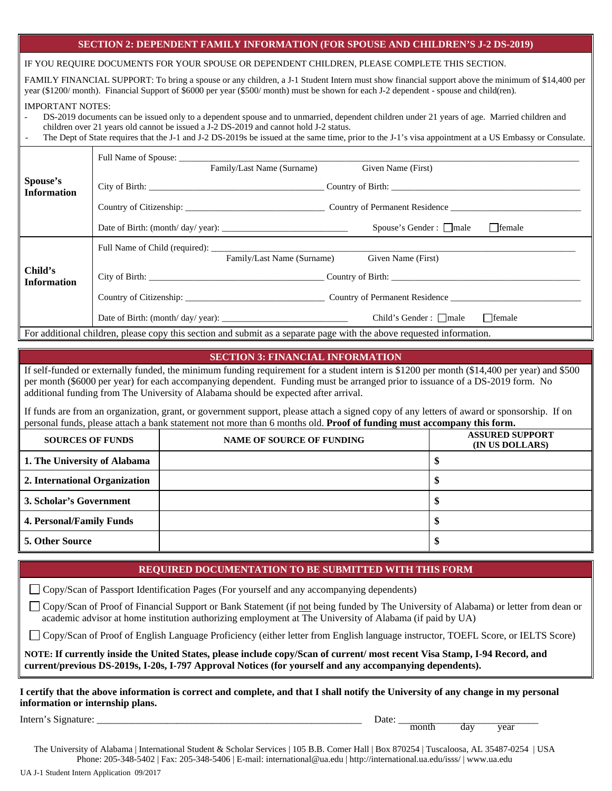### **SECTION 2: DEPENDENT FAMILY INFORMATION (FOR SPOUSE AND CHILDREN'S J-2 DS-2019)**

IF YOU REQUIRE DOCUMENTS FOR YOUR SPOUSE OR DEPENDENT CHILDREN, PLEASE COMPLETE THIS SECTION.

FAMILY FINANCIAL SUPPORT: To bring a spouse or any children, a J-1 Student Intern must show financial support above the minimum of \$14,400 per year (\$1200/ month). Financial Support of \$6000 per year (\$500/ month) must be shown for each J-2 dependent - spouse and child(ren).

#### IMPORTANT NOTES:

- DS-2019 documents can be issued only to a dependent spouse and to unmarried, dependent children under 21 years of age. Married children and children over 21 years old cannot be issued a J-2 DS-2019 and cannot hold J-2 status.
- The Dept of State requires that the J-1 and J-2 DS-2019s be issued at the same time, prior to the J-1's visa appointment at a US Embassy or Consulate.

|                                | Full Name of Spouse:<br>Family/Last Name (Surname)                                                                    | Given Name (First)                             |
|--------------------------------|-----------------------------------------------------------------------------------------------------------------------|------------------------------------------------|
| Spouse's<br><b>Information</b> |                                                                                                                       | Country of Birth: Country of Birth:            |
|                                |                                                                                                                       |                                                |
|                                |                                                                                                                       | $\Box$ female<br>Spouse's Gender : $\Box$ male |
|                                |                                                                                                                       |                                                |
| Child's                        | Family/Last Name (Surname)                                                                                            | Given Name (First)                             |
| <b>Information</b>             | City of Birth: Country of Birth:                                                                                      |                                                |
|                                |                                                                                                                       |                                                |
|                                |                                                                                                                       | $\Box$ female<br>Child's Gender: $\Box$ male   |
|                                | For additional children, please copy this section and submit as a separate page with the above requested information. |                                                |

#### **SECTION 3: FINANCIAL INFORMATION**

If self-funded or externally funded, the minimum funding requirement for a student intern is \$1200 per month (\$14,400 per year) and \$500 per month (\$6000 per year) for each accompanying dependent. Funding must be arranged prior to issuance of a DS-2019 form. No additional funding from The University of Alabama should be expected after arrival.

If funds are from an organization, grant, or government support, please attach a signed copy of any letters of award or sponsorship. If on personal funds, please attach a bank statement not more than 6 months old. **Proof of funding must accompany this form.** 

| <b>SOURCES OF FUNDS</b>         | <b>NAME OF SOURCE OF FUNDING</b> | <b>ASSURED SUPPORT</b><br>(IN US DOLLARS) |
|---------------------------------|----------------------------------|-------------------------------------------|
| 1. The University of Alabama    |                                  |                                           |
| 2. International Organization   |                                  |                                           |
| 3. Scholar's Government         |                                  |                                           |
| <b>4. Personal/Family Funds</b> |                                  |                                           |
| <b>5. Other Source</b>          |                                  |                                           |

#### **REQUIRED DOCUMENTATION TO BE SUBMITTED WITH THIS FORM**

Copy/Scan of Passport Identification Pages (For yourself and any accompanying dependents)

Copy/Scan of Proof of Financial Support or Bank Statement (if not being funded by The University of Alabama) or letter from dean or academic advisor at home institution authorizing employment at The University of Alabama (if paid by UA)

Copy/Scan of Proof of English Language Proficiency (either letter from English language instructor, TOEFL Score, or IELTS Score)

**NOTE: If currently inside the United States, please include copy/Scan of current/ most recent Visa Stamp, I-94 Record, and current/previous DS-2019s, I-20s, I-797 Approval Notices (for yourself and any accompanying dependents).** 

**I certify that the above information is correct and complete, and that I shall notify the University of any change in my personal information or internship plans.** 

Intern's Signature: \_\_\_\_\_\_\_\_\_\_\_\_\_\_\_\_\_\_\_\_\_\_\_\_\_\_\_\_\_\_\_\_\_\_\_\_\_\_\_\_\_\_\_\_\_\_\_\_\_\_\_\_\_ Date: \_\_\_\_\_\_\_\_\_\_\_\_\_\_\_\_\_\_\_\_\_\_\_\_\_\_\_\_ month day year

The University of Alabama | International Student & Scholar Services | 105 B.B. Comer Hall | Box 870254 | Tuscaloosa, AL 35487-0254 | USA Phone: 205-348-5402 | Fax: 205-348-5406 | E-mail: international@ua.edu | http://international.ua.edu/isss/ | www.ua.edu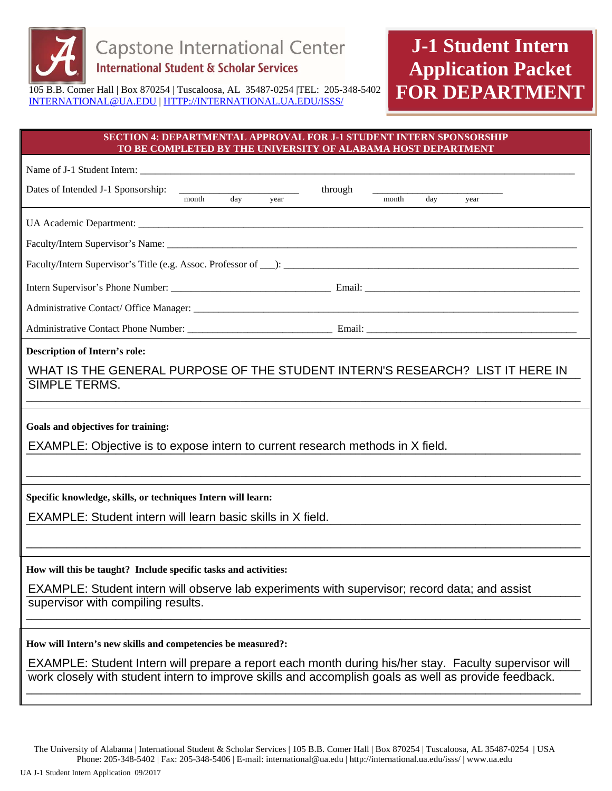

# **J-1 Student Intern Application Packet FOR DEPARTMENT**

105 B.B. Comer Hall | Box 870254 | Tuscaloosa, AL 35487-0254 |TEL: 205-348-5402 INTERNATIONAL@UA.EDU | HTTP://INTERNATIONAL.UA.EDU/ISSS/

### **SECTION 4: DEPARTMENTAL APPROVAL FOR J-1 STUDENT INTERN SPONSORSHIP TO BE COMPLETED BY THE UNIVERSITY OF ALABAMA HOST DEPARTMENT**

| Name of J-1 Student Intern:                                                                                                                                                                                                                                      |
|------------------------------------------------------------------------------------------------------------------------------------------------------------------------------------------------------------------------------------------------------------------|
| through<br>Dates of Intended J-1 Sponsorship: The Texas of Intended J-1 Sponsorship: The Texas of Texas of Texas of Texas of Texas of Texas of Texas of Texas of Texas of Texas of Texas of Texas of Texas of Texas of Texas of Texas of<br>day<br>month<br>year |
|                                                                                                                                                                                                                                                                  |
|                                                                                                                                                                                                                                                                  |
|                                                                                                                                                                                                                                                                  |
|                                                                                                                                                                                                                                                                  |
|                                                                                                                                                                                                                                                                  |
|                                                                                                                                                                                                                                                                  |
| <b>Description of Intern's role:</b>                                                                                                                                                                                                                             |
| WHAT IS THE GENERAL PURPOSE OF THE STUDENT INTERN'S RESEARCH? LIST IT HERE IN<br><b>SIMPLE TERMS.</b>                                                                                                                                                            |
|                                                                                                                                                                                                                                                                  |
| Goals and objectives for training:                                                                                                                                                                                                                               |
| EXAMPLE: Objective is to expose intern to current research methods in X field.                                                                                                                                                                                   |
|                                                                                                                                                                                                                                                                  |
| Specific knowledge, skills, or techniques Intern will learn:                                                                                                                                                                                                     |
| EXAMPLE: Student intern will learn basic skills in X field.                                                                                                                                                                                                      |
|                                                                                                                                                                                                                                                                  |
| How will this be taught? Include specific tasks and activities:                                                                                                                                                                                                  |
| EXAMPLE: Student intern will observe lab experiments with supervisor; record data; and assist                                                                                                                                                                    |
| supervisor with compiling results.                                                                                                                                                                                                                               |
| How will Intern's new skills and competencies be measured?:                                                                                                                                                                                                      |
| EXAMPLE: Student Intern will prepare a report each month during his/her stay. Faculty supervisor will                                                                                                                                                            |
| work closely with student intern to improve skills and accomplish goals as well as provide feedback.                                                                                                                                                             |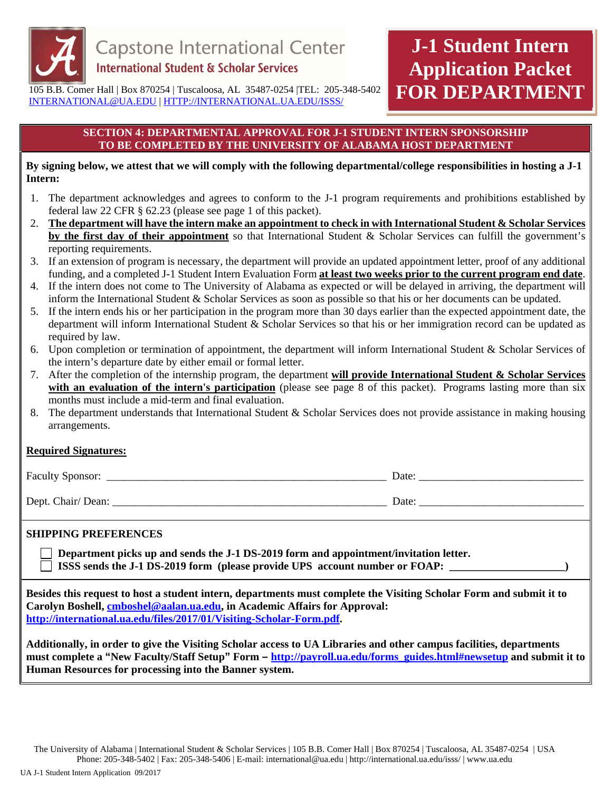

# **J-1 Student Intern Application Packet FOR DEPARTMENT**

105 B.B. Comer Hall | Box 870254 | Tuscaloosa, AL 35487-0254 |TEL: 205-348-5402 INTERNATIONAL@UA.EDU | HTTP://INTERNATIONAL.UA.EDU/ISSS/

### **SECTION 4: DEPARTMENTAL APPROVAL FOR J-1 STUDENT INTERN SPONSORSHIP TO BE COMPLETED BY THE UNIVERSITY OF ALABAMA HOST DEPARTMENT**

### **By signing below, we attest that we will comply with the following departmental/college responsibilities in hosting a J-1 Intern:**

- 1. The department acknowledges and agrees to conform to the J-1 program requirements and prohibitions established by federal law 22 CFR § 62.23 (please see page 1 of this packet).
- 2. **The department will have the intern make an appointment to check in with International Student & Scholar Services by the first day of their appointment** so that International Student & Scholar Services can fulfill the government's reporting requirements.
- 3. If an extension of program is necessary, the department will provide an updated appointment letter, proof of any additional funding, and a completed J-1 Student Intern Evaluation Form **at least two weeks prior to the current program end date**.
- 4. If the intern does not come to The University of Alabama as expected or will be delayed in arriving, the department will inform the International Student & Scholar Services as soon as possible so that his or her documents can be updated.
- 5. If the intern ends his or her participation in the program more than 30 days earlier than the expected appointment date, the department will inform International Student & Scholar Services so that his or her immigration record can be updated as required by law.
- 6. Upon completion or termination of appointment, the department will inform International Student & Scholar Services of the intern's departure date by either email or formal letter.
- 7. After the completion of the internship program, the department **will provide International Student & Scholar Services** with an evaluation of the intern's participation (please see page 8 of this packet). Programs lasting more than six months must include a mid-term and final evaluation.
- 8. The department understands that International Student & Scholar Services does not provide assistance in making housing arrangements.

### **Required Signatures:**

Faculty Sponsor: \_\_\_\_\_\_\_\_\_\_\_\_\_\_\_\_\_\_\_\_\_\_\_\_\_\_\_\_\_\_\_\_\_\_\_\_\_\_\_\_\_\_\_\_\_\_\_\_\_\_\_ Date: \_\_\_\_\_\_\_\_\_\_\_\_\_\_\_\_\_\_\_\_\_\_\_\_\_\_\_\_\_\_

Dept. Chair/ Dean: <u>Date:</u> <u>Date:</u> <u>Date:</u> <u>Date:</u> <u>Date:</u> <u>Date:</u> <u>Date:</u> <u>Date:</u> <u>Date:</u> <u>Date:</u> **Date: Date: Date: Date: Date: Date: Date: Date: Date: Date: Date: Date: Date: Date: Date: Da** 

### **SHIPPING PREFERENCES**

 **Department picks up and sends the J-1 DS-2019 form and appointment/invitation letter.**   $\Box$  ISSS sends the J-1 DS-2019 form (please provide UPS account number or FOAP:  $\Box$ )

**Besides this request to host a student intern, departments must complete the Visiting Scholar Form and submit it to Carolyn Boshell, cmboshel@aalan.ua.edu, in Academic Affairs for Approval: http://international.ua.edu/files/2017/01/Visiting-Scholar-Form.pdf.** 

**Additionally, in order to give the Visiting Scholar access to UA Libraries and other campus facilities, departments must complete a "New Faculty/Staff Setup" Form – http://payroll.ua.edu/forms\_guides.html#newsetup and submit it to Human Resources for processing into the Banner system.**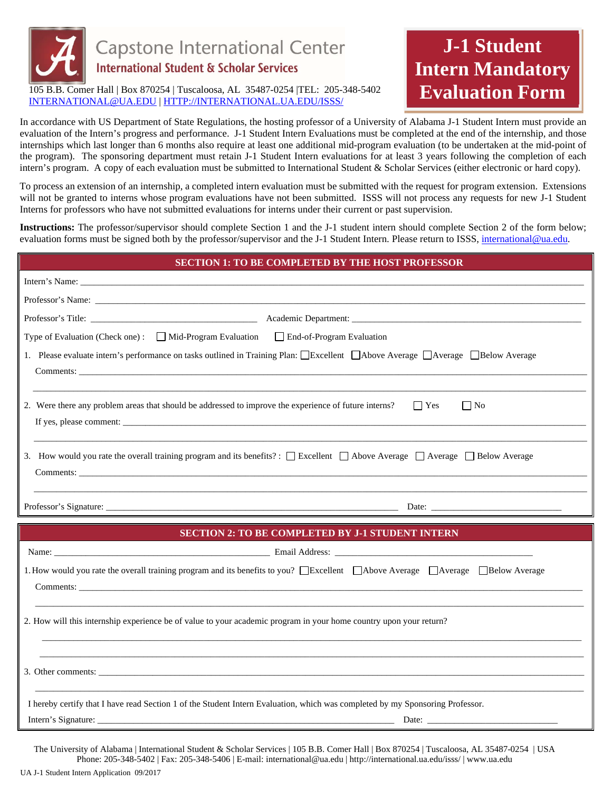

105 B.B. Comer Hall | Box 870254 | Tuscaloosa, AL 35487-0254 |TEL: 205-348-5402 INTERNATIONAL@UA.EDU | HTTP://INTERNATIONAL.UA.EDU/ISSS/

### In accordance with US Department of State Regulations, the hosting professor of a University of Alabama J-1 Student Intern must provide an evaluation of the Intern's progress and performance. J-1 Student Intern Evaluations must be completed at the end of the internship, and those internships which last longer than 6 months also require at least one additional mid-program evaluation (to be undertaken at the mid-point of the program). The sponsoring department must retain J-1 Student Intern evaluations for at least 3 years following the completion of each intern's program. A copy of each evaluation must be submitted to International Student & Scholar Services (either electronic or hard copy).

**J-1 Student** 

**Intern Mandatory** 

**Evaluation Form** 

To process an extension of an internship, a completed intern evaluation must be submitted with the request for program extension. Extensions will not be granted to interns whose program evaluations have not been submitted. ISSS will not process any requests for new J-1 Student Interns for professors who have not submitted evaluations for interns under their current or past supervision.

**Instructions:** The professor/supervisor should complete Section 1 and the J-1 student intern should complete Section 2 of the form below; evaluation forms must be signed both by the professor/supervisor and the J-1 Student Intern. Please return to ISSS, international@ua.edu.

| <b>SECTION 1: TO BE COMPLETED BY THE HOST PROFESSOR</b>                                                                                          |
|--------------------------------------------------------------------------------------------------------------------------------------------------|
|                                                                                                                                                  |
|                                                                                                                                                  |
|                                                                                                                                                  |
| Type of Evaluation (Check one): Mid-Program Evaluation End-of-Program Evaluation                                                                 |
| 1. Please evaluate intern's performance on tasks outlined in Training Plan: Excellent   Above Average   Average   Below Average                  |
| 2. Were there any problem areas that should be addressed to improve the experience of future interns?<br>$\blacksquare$ Yes<br>$\Box$ No         |
| 3. How would you rate the overall training program and its benefits? : $\Box$ Excellent $\Box$ Above Average $\Box$ Average $\Box$ Below Average |
|                                                                                                                                                  |
|                                                                                                                                                  |
| <b>SECTION 2: TO BE COMPLETED BY J-1 STUDENT INTERN</b>                                                                                          |
|                                                                                                                                                  |
| 1. How would you rate the overall training program and its benefits to you? Excellent Above Average Average Below Average                        |
| 2. How will this internship experience be of value to your academic program in your home country upon your return?                               |
|                                                                                                                                                  |
| I hereby certify that I have read Section 1 of the Student Intern Evaluation, which was completed by my Sponsoring Professor.                    |
|                                                                                                                                                  |

The University of Alabama | International Student & Scholar Services | 105 B.B. Comer Hall | Box 870254 | Tuscaloosa, AL 35487-0254 | USA Phone: 205-348-5402 | Fax: 205-348-5406 | E-mail: international@ua.edu | http://international.ua.edu/isss/ | www.ua.edu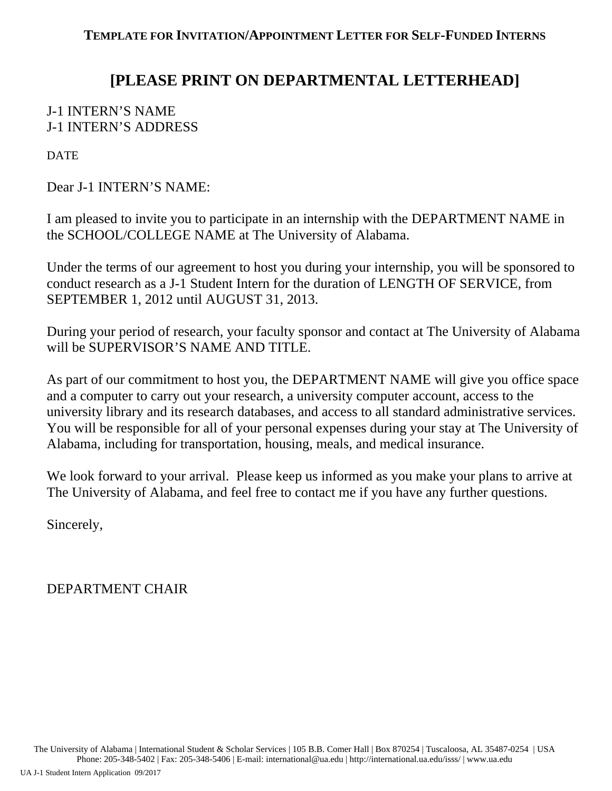## **[PLEASE PRINT ON DEPARTMENTAL LETTERHEAD]**

## J-1 INTERN'S NAME J-1 INTERN'S ADDRESS

**DATE** 

Dear J-1 INTERN'S NAME:

I am pleased to invite you to participate in an internship with the DEPARTMENT NAME in the SCHOOL/COLLEGE NAME at The University of Alabama.

Under the terms of our agreement to host you during your internship, you will be sponsored to conduct research as a J-1 Student Intern for the duration of LENGTH OF SERVICE, from SEPTEMBER 1, 2012 until AUGUST 31, 2013.

During your period of research, your faculty sponsor and contact at The University of Alabama will be SUPERVISOR'S NAME AND TITLE.

As part of our commitment to host you, the DEPARTMENT NAME will give you office space and a computer to carry out your research, a university computer account, access to the university library and its research databases, and access to all standard administrative services. You will be responsible for all of your personal expenses during your stay at The University of Alabama, including for transportation, housing, meals, and medical insurance.

We look forward to your arrival. Please keep us informed as you make your plans to arrive at The University of Alabama, and feel free to contact me if you have any further questions.

Sincerely,

DEPARTMENT CHAIR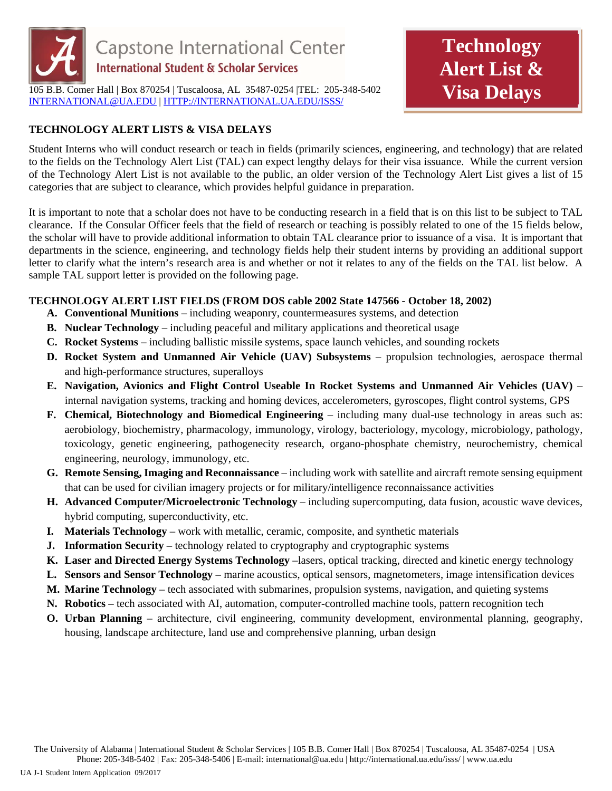

105 B.B. Comer Hall | Box 870254 | Tuscaloosa, AL 35487-0254 |TEL: 205-348-5402 INTERNATIONAL@UA.EDU | HTTP://INTERNATIONAL.UA.EDU/ISSS/

## **TECHNOLOGY ALERT LISTS & VISA DELAYS**

Student Interns who will conduct research or teach in fields (primarily sciences, engineering, and technology) that are related to the fields on the Technology Alert List (TAL) can expect lengthy delays for their visa issuance. While the current version of the Technology Alert List is not available to the public, an older version of the Technology Alert List gives a list of 15 categories that are subject to clearance, which provides helpful guidance in preparation.

**Technology** 

**Alert List &** 

**Visa Delays** 

It is important to note that a scholar does not have to be conducting research in a field that is on this list to be subject to TAL clearance. If the Consular Officer feels that the field of research or teaching is possibly related to one of the 15 fields below, the scholar will have to provide additional information to obtain TAL clearance prior to issuance of a visa. It is important that departments in the science, engineering, and technology fields help their student interns by providing an additional support letter to clarify what the intern's research area is and whether or not it relates to any of the fields on the TAL list below. A sample TAL support letter is provided on the following page.

### **TECHNOLOGY ALERT LIST FIELDS (FROM DOS cable 2002 State 147566 - October 18, 2002)**

- **A. Conventional Munitions**  including weaponry, countermeasures systems, and detection
- **B. Nuclear Technology** including peaceful and military applications and theoretical usage
- **C. Rocket Systems**  including ballistic missile systems, space launch vehicles, and sounding rockets
- **D. Rocket System and Unmanned Air Vehicle (UAV) Subsystems** propulsion technologies, aerospace thermal and high-performance structures, superalloys
- **E. Navigation, Avionics and Flight Control Useable In Rocket Systems and Unmanned Air Vehicles (UAV)** internal navigation systems, tracking and homing devices, accelerometers, gyroscopes, flight control systems, GPS
- **F. Chemical, Biotechnology and Biomedical Engineering including many dual-use technology in areas such as:** aerobiology, biochemistry, pharmacology, immunology, virology, bacteriology, mycology, microbiology, pathology, toxicology, genetic engineering, pathogenecity research, organo-phosphate chemistry, neurochemistry, chemical engineering, neurology, immunology, etc.
- **G. Remote Sensing, Imaging and Reconnaissance**  including work with satellite and aircraft remote sensing equipment that can be used for civilian imagery projects or for military/intelligence reconnaissance activities
- **H. Advanced Computer/Microelectronic Technology**  including supercomputing, data fusion, acoustic wave devices, hybrid computing, superconductivity, etc.
- **I. Materials Technology** work with metallic, ceramic, composite, and synthetic materials
- **J.** Information Security technology related to cryptography and cryptographic systems
- **K. Laser and Directed Energy Systems Technology** –lasers, optical tracking, directed and kinetic energy technology
- **L. Sensors and Sensor Technology**  marine acoustics, optical sensors, magnetometers, image intensification devices
- **M. Marine Technology** tech associated with submarines, propulsion systems, navigation, and quieting systems
- **N. Robotics** tech associated with AI, automation, computer-controlled machine tools, pattern recognition tech
- **O. Urban Planning** architecture, civil engineering, community development, environmental planning, geography, housing, landscape architecture, land use and comprehensive planning, urban design